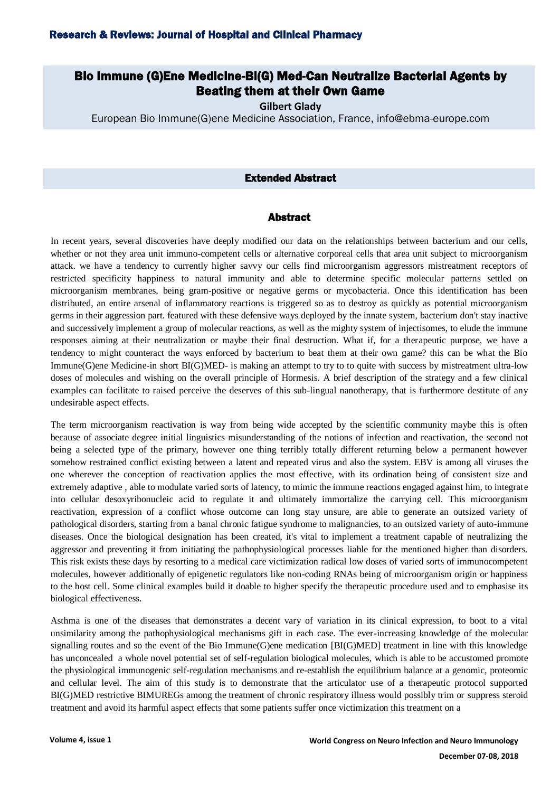# Bio Immune (G)Ene Medicine-Bi(G) Med-Can Neutralize Bacterial Agents by Beating them at their Own Game

**Gilbert Glady**

European Bio Immune(G)ene Medicine Association, France, info@ebma-europe.com

### Extended Abstract

#### Abstract

In recent years, several discoveries have deeply modified our data on the relationships between bacterium and our cells, whether or not they area unit immuno-competent cells or alternative corporeal cells that area unit subject to microorganism attack. we have a tendency to currently higher savvy our cells find microorganism aggressors mistreatment receptors of restricted specificity happiness to natural immunity and able to determine specific molecular patterns settled on microorganism membranes, being gram-positive or negative germs or mycobacteria. Once this identification has been distributed, an entire arsenal of inflammatory reactions is triggered so as to destroy as quickly as potential microorganism germs in their aggression part. featured with these defensive ways deployed by the innate system, bacterium don't stay inactive and successively implement a group of molecular reactions, as well as the mighty system of injectisomes, to elude the immune responses aiming at their neutralization or maybe their final destruction. What if, for a therapeutic purpose, we have a tendency to might counteract the ways enforced by bacterium to beat them at their own game? this can be what the Bio Immune(G)ene Medicine-in short BI(G)MED- is making an attempt to try to to quite with success by mistreatment ultra-low doses of molecules and wishing on the overall principle of Hormesis. A brief description of the strategy and a few clinical examples can facilitate to raised perceive the deserves of this sub-lingual nanotherapy, that is furthermore destitute of any undesirable aspect effects.

The term microorganism reactivation is way from being wide accepted by the scientific community maybe this is often because of associate degree initial linguistics misunderstanding of the notions of infection and reactivation, the second not being a selected type of the primary, however one thing terribly totally different returning below a permanent however somehow restrained conflict existing between a latent and repeated virus and also the system. EBV is among all viruses the one wherever the conception of reactivation applies the most effective, with its ordination being of consistent size and extremely adaptive , able to modulate varied sorts of latency, to mimic the immune reactions engaged against him, to integrate into cellular desoxyribonucleic acid to regulate it and ultimately immortalize the carrying cell. This microorganism reactivation, expression of a conflict whose outcome can long stay unsure, are able to generate an outsized variety of pathological disorders, starting from a banal chronic fatigue syndrome to malignancies, to an outsized variety of auto-immune diseases. Once the biological designation has been created, it's vital to implement a treatment capable of neutralizing the aggressor and preventing it from initiating the pathophysiological processes liable for the mentioned higher than disorders. This risk exists these days by resorting to a medical care victimization radical low doses of varied sorts of immunocompetent molecules, however additionally of epigenetic regulators like non-coding RNAs being of microorganism origin or happiness to the host cell. Some clinical examples build it doable to higher specify the therapeutic procedure used and to emphasise its biological effectiveness.

Asthma is one of the diseases that demonstrates a decent vary of variation in its clinical expression, to boot to a vital unsimilarity among the pathophysiological mechanisms gift in each case. The ever-increasing knowledge of the molecular signalling routes and so the event of the Bio Immune(G)ene medication [BI(G)MED] treatment in line with this knowledge has unconcealed a whole novel potential set of self-regulation biological molecules, which is able to be accustomed promote the physiological immunogenic self-regulation mechanisms and re-establish the equilibrium balance at a genomic, proteomic and cellular level. The aim of this study is to demonstrate that the articulator use of a therapeutic protocol supported BI(G)MED restrictive BIMUREGs among the treatment of chronic respiratory illness would possibly trim or suppress steroid treatment and avoid its harmful aspect effects that some patients suffer once victimization this treatment on a